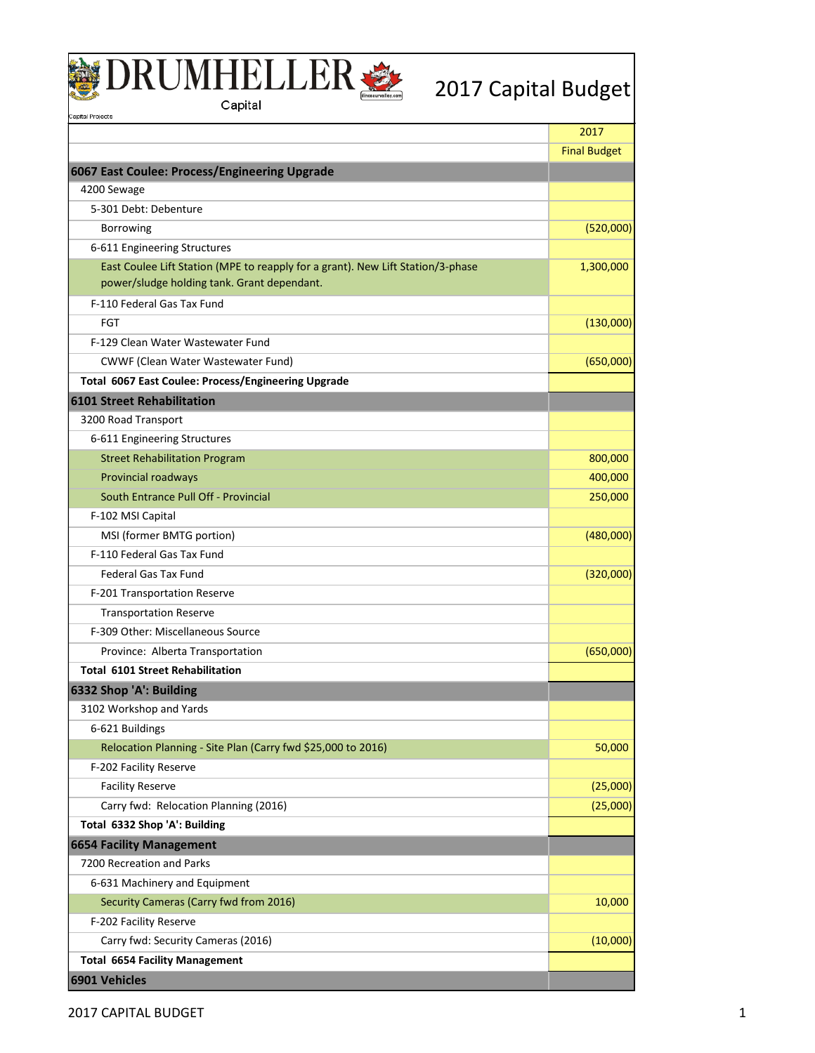

|                                                                                                                                | 2017                |
|--------------------------------------------------------------------------------------------------------------------------------|---------------------|
|                                                                                                                                | <b>Final Budget</b> |
| 6067 East Coulee: Process/Engineering Upgrade                                                                                  |                     |
| 4200 Sewage                                                                                                                    |                     |
| 5-301 Debt: Debenture                                                                                                          |                     |
| Borrowing                                                                                                                      | (520,000)           |
| 6-611 Engineering Structures                                                                                                   |                     |
| East Coulee Lift Station (MPE to reapply for a grant). New Lift Station/3-phase<br>power/sludge holding tank. Grant dependant. | 1,300,000           |
| F-110 Federal Gas Tax Fund                                                                                                     |                     |
| <b>FGT</b>                                                                                                                     | (130,000)           |
| F-129 Clean Water Wastewater Fund                                                                                              |                     |
| CWWF (Clean Water Wastewater Fund)                                                                                             | (650,000)           |
| Total 6067 East Coulee: Process/Engineering Upgrade                                                                            |                     |
| <b>6101 Street Rehabilitation</b>                                                                                              |                     |
| 3200 Road Transport                                                                                                            |                     |
| 6-611 Engineering Structures                                                                                                   |                     |
| <b>Street Rehabilitation Program</b>                                                                                           | 800,000             |
| Provincial roadways                                                                                                            | 400,000             |
| South Entrance Pull Off - Provincial                                                                                           | 250,000             |
| F-102 MSI Capital                                                                                                              |                     |
| MSI (former BMTG portion)                                                                                                      | (480,000)           |
| F-110 Federal Gas Tax Fund                                                                                                     |                     |
| Federal Gas Tax Fund                                                                                                           | (320,000)           |
| F-201 Transportation Reserve                                                                                                   |                     |
| <b>Transportation Reserve</b>                                                                                                  |                     |
| F-309 Other: Miscellaneous Source                                                                                              |                     |
| Province: Alberta Transportation                                                                                               | (650,000)           |
| <b>Total 6101 Street Rehabilitation</b>                                                                                        |                     |
| 6332 Shop 'A': Building                                                                                                        |                     |
| 3102 Workshop and Yards                                                                                                        |                     |
| 6-621 Buildings                                                                                                                |                     |
| Relocation Planning - Site Plan (Carry fwd \$25,000 to 2016)                                                                   | 50,000              |
| F-202 Facility Reserve                                                                                                         |                     |
| <b>Facility Reserve</b>                                                                                                        | (25,000)            |
| Carry fwd: Relocation Planning (2016)                                                                                          | (25,000)            |
| Total 6332 Shop 'A': Building                                                                                                  |                     |
| <b>6654 Facility Management</b>                                                                                                |                     |
| 7200 Recreation and Parks                                                                                                      |                     |
| 6-631 Machinery and Equipment                                                                                                  |                     |
| Security Cameras (Carry fwd from 2016)                                                                                         | 10,000              |
| F-202 Facility Reserve                                                                                                         |                     |
| Carry fwd: Security Cameras (2016)                                                                                             | (10,000)            |
| <b>Total 6654 Facility Management</b>                                                                                          |                     |
| 6901 Vehicles                                                                                                                  |                     |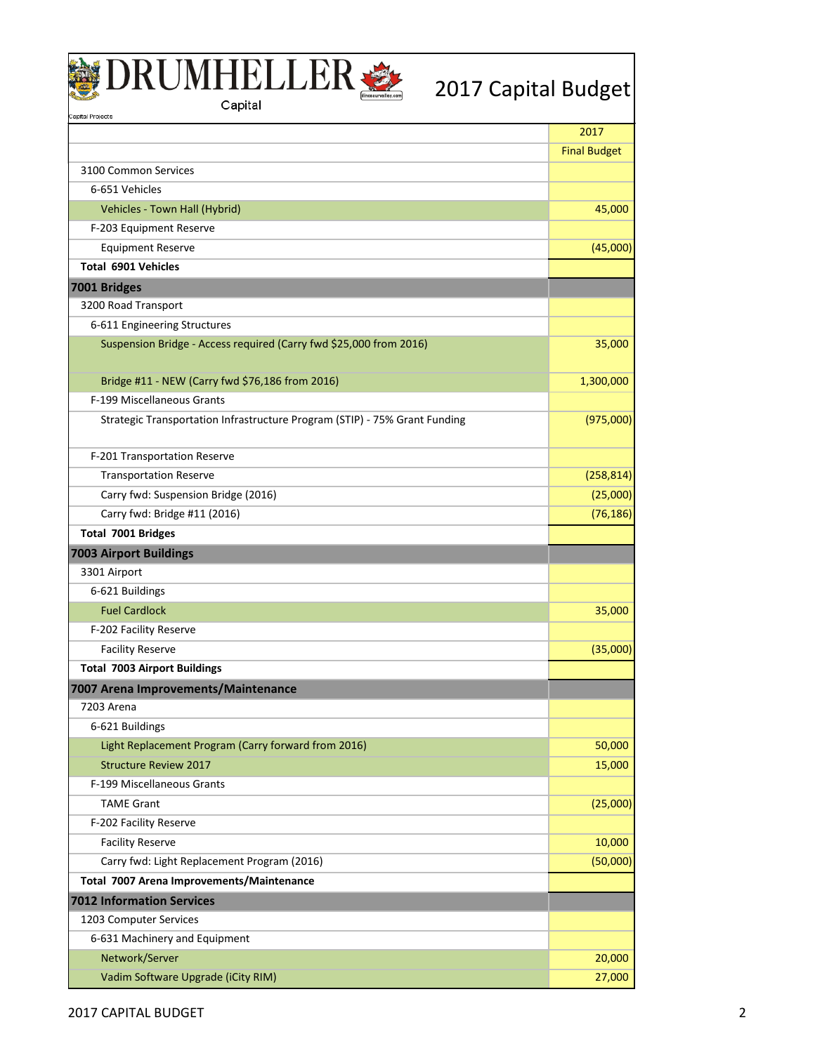

| apital Projects                                                            |                     |
|----------------------------------------------------------------------------|---------------------|
|                                                                            | 2017                |
|                                                                            | <b>Final Budget</b> |
| 3100 Common Services                                                       |                     |
| 6-651 Vehicles                                                             |                     |
| Vehicles - Town Hall (Hybrid)                                              | 45,000              |
| F-203 Equipment Reserve                                                    |                     |
| <b>Equipment Reserve</b>                                                   | (45,000)            |
| <b>Total 6901 Vehicles</b>                                                 |                     |
| 7001 Bridges                                                               |                     |
| 3200 Road Transport                                                        |                     |
| 6-611 Engineering Structures                                               |                     |
| Suspension Bridge - Access required (Carry fwd \$25,000 from 2016)         | 35,000              |
| Bridge #11 - NEW (Carry fwd \$76,186 from 2016)                            | 1,300,000           |
| F-199 Miscellaneous Grants                                                 |                     |
| Strategic Transportation Infrastructure Program (STIP) - 75% Grant Funding | (975,000)           |
| F-201 Transportation Reserve                                               |                     |
| <b>Transportation Reserve</b>                                              | (258, 814)          |
| Carry fwd: Suspension Bridge (2016)                                        | (25,000)            |
| Carry fwd: Bridge #11 (2016)                                               | (76, 186)           |
| <b>Total 7001 Bridges</b>                                                  |                     |
| <b>7003 Airport Buildings</b>                                              |                     |
| 3301 Airport                                                               |                     |
| 6-621 Buildings                                                            |                     |
| <b>Fuel Cardlock</b>                                                       | 35,000              |
| F-202 Facility Reserve                                                     |                     |
| <b>Facility Reserve</b>                                                    | (35,000)            |
| <b>Total 7003 Airport Buildings</b>                                        |                     |
| 7007 Arena Improvements/Maintenance                                        |                     |
| 7203 Arena                                                                 |                     |
| 6-621 Buildings                                                            |                     |
| Light Replacement Program (Carry forward from 2016)                        | 50,000              |
| <b>Structure Review 2017</b>                                               | 15,000              |
| F-199 Miscellaneous Grants                                                 |                     |
| <b>TAME Grant</b>                                                          | (25,000)            |
| F-202 Facility Reserve                                                     |                     |
| <b>Facility Reserve</b>                                                    | 10,000              |
| Carry fwd: Light Replacement Program (2016)                                | (50,000)            |
| Total 7007 Arena Improvements/Maintenance                                  |                     |
| <b>7012 Information Services</b>                                           |                     |
| 1203 Computer Services                                                     |                     |
| 6-631 Machinery and Equipment                                              |                     |
| Network/Server                                                             | 20,000              |
| Vadim Software Upgrade (iCity RIM)                                         | 27,000              |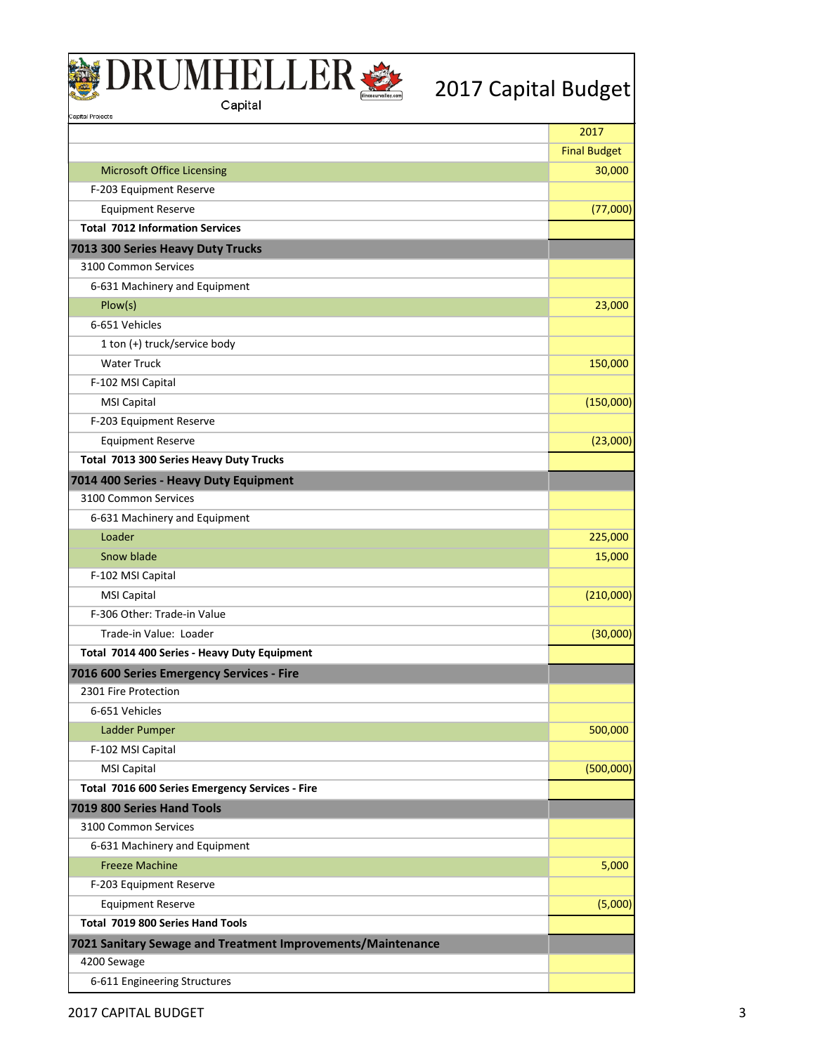

|                                                             | 2017                |
|-------------------------------------------------------------|---------------------|
|                                                             | <b>Final Budget</b> |
| <b>Microsoft Office Licensing</b>                           | 30,000              |
| F-203 Equipment Reserve                                     |                     |
| <b>Equipment Reserve</b>                                    | (77,000)            |
| <b>Total 7012 Information Services</b>                      |                     |
| 7013 300 Series Heavy Duty Trucks                           |                     |
| 3100 Common Services                                        |                     |
| 6-631 Machinery and Equipment                               |                     |
| Plow(s)                                                     | 23,000              |
| 6-651 Vehicles                                              |                     |
| 1 ton (+) truck/service body                                |                     |
| <b>Water Truck</b>                                          | 150,000             |
| F-102 MSI Capital                                           |                     |
| <b>MSI Capital</b>                                          | (150,000)           |
| F-203 Equipment Reserve                                     |                     |
| <b>Equipment Reserve</b>                                    | (23,000)            |
| Total 7013 300 Series Heavy Duty Trucks                     |                     |
| 7014 400 Series - Heavy Duty Equipment                      |                     |
| 3100 Common Services                                        |                     |
| 6-631 Machinery and Equipment                               |                     |
| Loader                                                      | 225,000             |
| Snow blade                                                  | 15,000              |
| F-102 MSI Capital                                           |                     |
| <b>MSI Capital</b>                                          | (210,000)           |
| F-306 Other: Trade-in Value                                 |                     |
| Trade-in Value: Loader                                      | (30,000)            |
| Total 7014 400 Series - Heavy Duty Equipment                |                     |
| 7016 600 Series Emergency Services - Fire                   |                     |
| 2301 Fire Protection                                        |                     |
| 6-651 Vehicles                                              |                     |
| Ladder Pumper                                               | 500,000             |
| F-102 MSI Capital                                           |                     |
| <b>MSI Capital</b>                                          | (500,000)           |
| Total 7016 600 Series Emergency Services - Fire             |                     |
| 7019 800 Series Hand Tools                                  |                     |
| 3100 Common Services                                        |                     |
| 6-631 Machinery and Equipment                               |                     |
| <b>Freeze Machine</b>                                       | 5,000               |
| F-203 Equipment Reserve                                     |                     |
| <b>Equipment Reserve</b>                                    | (5,000)             |
| Total 7019 800 Series Hand Tools                            |                     |
| 7021 Sanitary Sewage and Treatment Improvements/Maintenance |                     |
| 4200 Sewage                                                 |                     |
| 6-611 Engineering Structures                                |                     |

2017 CAPITAL BUDGET 3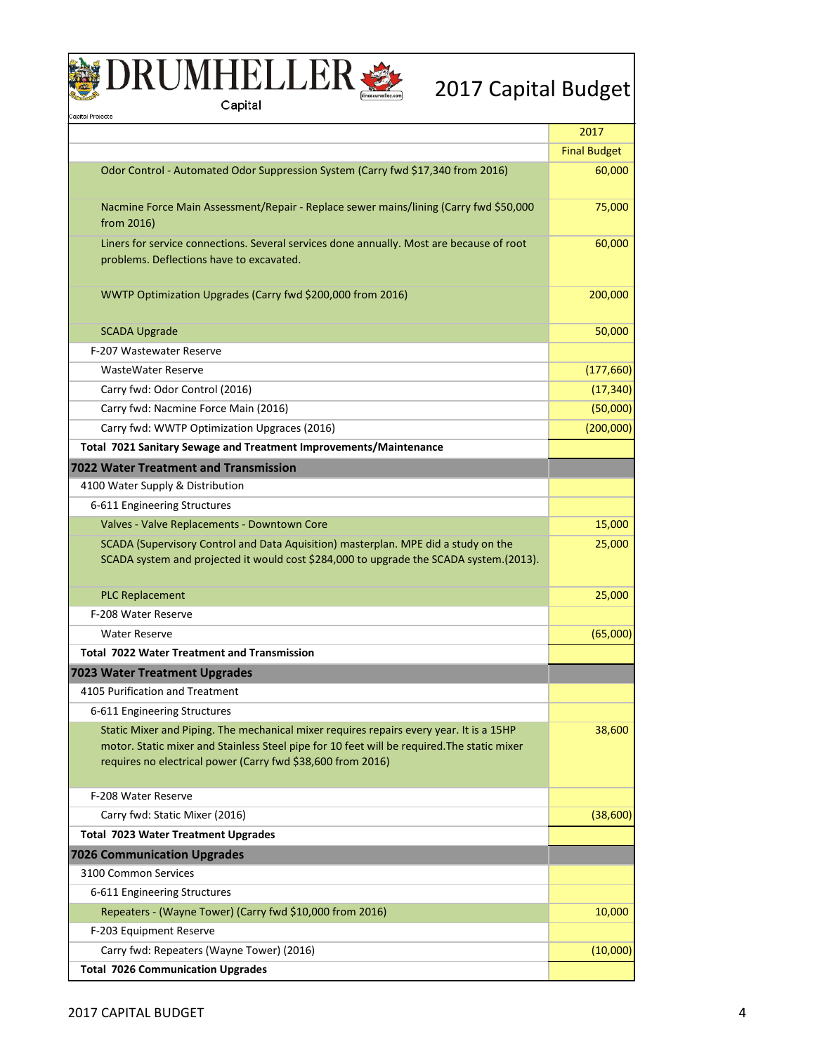

| Capital Projects                                                                                                                                                                                                                                      |                     |
|-------------------------------------------------------------------------------------------------------------------------------------------------------------------------------------------------------------------------------------------------------|---------------------|
|                                                                                                                                                                                                                                                       | 2017                |
|                                                                                                                                                                                                                                                       | <b>Final Budget</b> |
| Odor Control - Automated Odor Suppression System (Carry fwd \$17,340 from 2016)                                                                                                                                                                       | 60,000              |
| Nacmine Force Main Assessment/Repair - Replace sewer mains/lining (Carry fwd \$50,000<br>from 2016)                                                                                                                                                   | 75,000              |
| Liners for service connections. Several services done annually. Most are because of root<br>problems. Deflections have to excavated.                                                                                                                  | 60,000              |
| WWTP Optimization Upgrades (Carry fwd \$200,000 from 2016)                                                                                                                                                                                            | 200,000             |
| <b>SCADA Upgrade</b>                                                                                                                                                                                                                                  | 50,000              |
| F-207 Wastewater Reserve                                                                                                                                                                                                                              |                     |
| <b>WasteWater Reserve</b>                                                                                                                                                                                                                             | (177, 660)          |
| Carry fwd: Odor Control (2016)                                                                                                                                                                                                                        | (17, 340)           |
| Carry fwd: Nacmine Force Main (2016)                                                                                                                                                                                                                  | (50,000)            |
| Carry fwd: WWTP Optimization Upgraces (2016)                                                                                                                                                                                                          | (200,000)           |
| Total 7021 Sanitary Sewage and Treatment Improvements/Maintenance                                                                                                                                                                                     |                     |
| <b>7022 Water Treatment and Transmission</b>                                                                                                                                                                                                          |                     |
| 4100 Water Supply & Distribution                                                                                                                                                                                                                      |                     |
| 6-611 Engineering Structures                                                                                                                                                                                                                          |                     |
| Valves - Valve Replacements - Downtown Core                                                                                                                                                                                                           | 15,000              |
| SCADA (Supervisory Control and Data Aquisition) masterplan. MPE did a study on the<br>SCADA system and projected it would cost \$284,000 to upgrade the SCADA system.(2013).                                                                          | 25,000              |
| <b>PLC Replacement</b>                                                                                                                                                                                                                                | 25,000              |
| F-208 Water Reserve                                                                                                                                                                                                                                   |                     |
| <b>Water Reserve</b>                                                                                                                                                                                                                                  | (65,000)            |
| <b>Total 7022 Water Treatment and Transmission</b>                                                                                                                                                                                                    |                     |
| 7023 Water Treatment Upgrades                                                                                                                                                                                                                         |                     |
| 4105 Purification and Treatment                                                                                                                                                                                                                       |                     |
| 6-611 Engineering Structures                                                                                                                                                                                                                          |                     |
| Static Mixer and Piping. The mechanical mixer requires repairs every year. It is a 15HP<br>motor. Static mixer and Stainless Steel pipe for 10 feet will be required. The static mixer<br>requires no electrical power (Carry fwd \$38,600 from 2016) | 38,600              |
| F-208 Water Reserve                                                                                                                                                                                                                                   |                     |
| Carry fwd: Static Mixer (2016)                                                                                                                                                                                                                        | (38, 600)           |
| <b>Total 7023 Water Treatment Upgrades</b>                                                                                                                                                                                                            |                     |
| <b>7026 Communication Upgrades</b>                                                                                                                                                                                                                    |                     |
| 3100 Common Services                                                                                                                                                                                                                                  |                     |
| 6-611 Engineering Structures                                                                                                                                                                                                                          |                     |
| Repeaters - (Wayne Tower) (Carry fwd \$10,000 from 2016)                                                                                                                                                                                              | 10,000              |
| F-203 Equipment Reserve                                                                                                                                                                                                                               |                     |
| Carry fwd: Repeaters (Wayne Tower) (2016)                                                                                                                                                                                                             | (10,000)            |
| <b>Total 7026 Communication Upgrades</b>                                                                                                                                                                                                              |                     |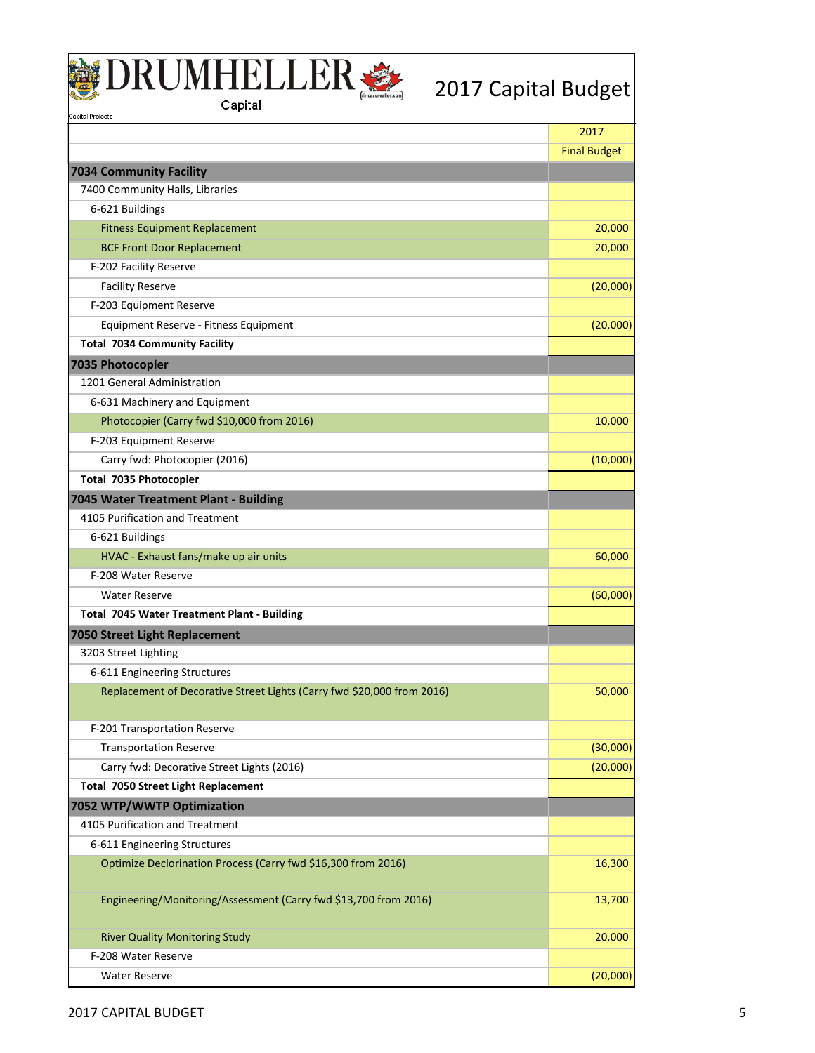

## 2017 Capital Budget

| Capital Projects                                                       |                     |
|------------------------------------------------------------------------|---------------------|
|                                                                        | 2017                |
|                                                                        | <b>Final Budget</b> |
| <b>7034 Community Facility</b>                                         |                     |
| 7400 Community Halls, Libraries                                        |                     |
| 6-621 Buildings                                                        |                     |
| <b>Fitness Equipment Replacement</b>                                   | 20,000              |
| <b>BCF Front Door Replacement</b>                                      | 20,000              |
| F-202 Facility Reserve                                                 |                     |
| <b>Facility Reserve</b>                                                | (20,000)            |
| F-203 Equipment Reserve                                                |                     |
| Equipment Reserve - Fitness Equipment                                  | (20,000)            |
| <b>Total 7034 Community Facility</b>                                   |                     |
| 7035 Photocopier                                                       |                     |
| 1201 General Administration                                            |                     |
| 6-631 Machinery and Equipment                                          |                     |
| Photocopier (Carry fwd \$10,000 from 2016)                             | 10,000              |
| F-203 Equipment Reserve                                                |                     |
| Carry fwd: Photocopier (2016)                                          | (10,000)            |
| Total 7035 Photocopier                                                 |                     |
| 7045 Water Treatment Plant - Building                                  |                     |
| 4105 Purification and Treatment                                        |                     |
| 6-621 Buildings                                                        |                     |
| HVAC - Exhaust fans/make up air units                                  | 60,000              |
| F-208 Water Reserve                                                    |                     |
| <b>Water Reserve</b>                                                   | (60,000)            |
| <b>Total 7045 Water Treatment Plant - Building</b>                     |                     |
| 7050 Street Light Replacement                                          |                     |
| 3203 Street Lighting                                                   |                     |
| 6-611 Engineering Structures                                           |                     |
| Replacement of Decorative Street Lights (Carry fwd \$20,000 from 2016) | 50,000              |
| F-201 Transportation Reserve                                           |                     |
| <b>Transportation Reserve</b>                                          | (30,000)            |
| Carry fwd: Decorative Street Lights (2016)                             | (20,000)            |
| <b>Total 7050 Street Light Replacement</b>                             |                     |
| 7052 WTP/WWTP Optimization                                             |                     |
| 4105 Purification and Treatment                                        |                     |
| 6-611 Engineering Structures                                           |                     |
| Optimize Declorination Process (Carry fwd \$16,300 from 2016)          | 16,300              |
| Engineering/Monitoring/Assessment (Carry fwd \$13,700 from 2016)       | 13,700              |
| <b>River Quality Monitoring Study</b>                                  | 20,000              |
| F-208 Water Reserve                                                    |                     |
| <b>Water Reserve</b>                                                   | (20,000)            |

2017 CAPITAL BUDGET 5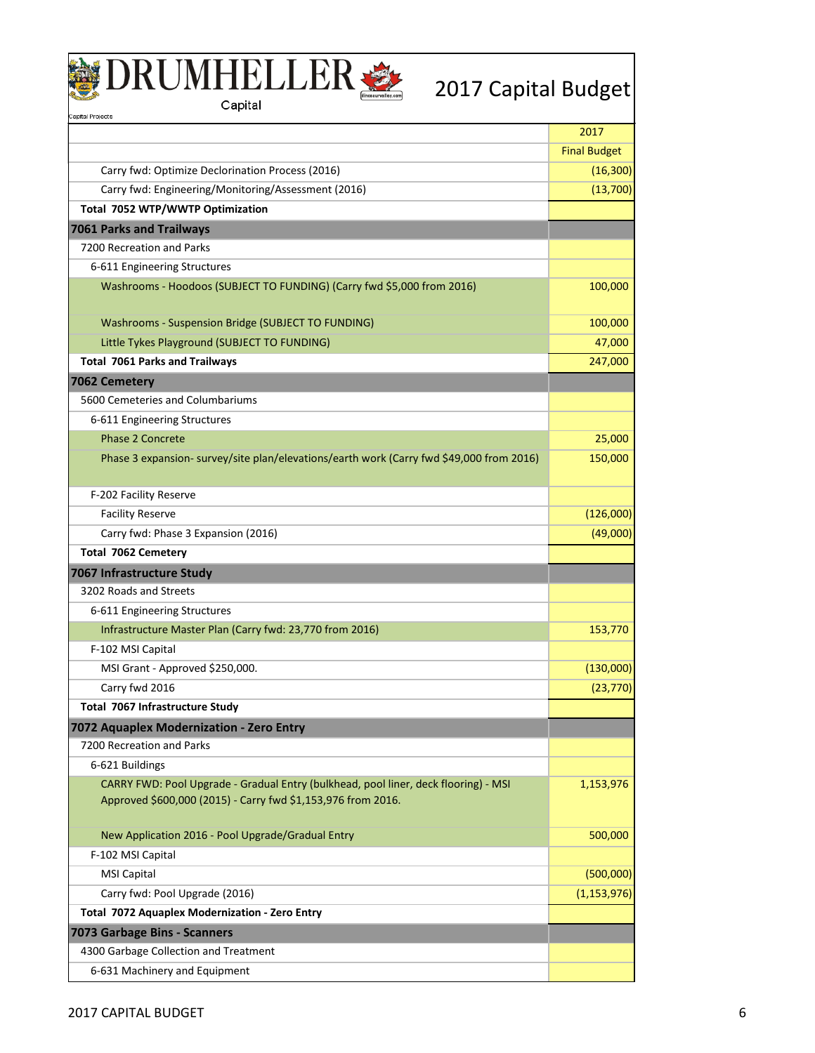

## 2017 Capital Budget

| Capital Projects                                                                                                                                    | 2017                |
|-----------------------------------------------------------------------------------------------------------------------------------------------------|---------------------|
|                                                                                                                                                     | <b>Final Budget</b> |
| Carry fwd: Optimize Declorination Process (2016)                                                                                                    | (16, 300)           |
| Carry fwd: Engineering/Monitoring/Assessment (2016)                                                                                                 | (13,700)            |
| Total 7052 WTP/WWTP Optimization                                                                                                                    |                     |
| <b>7061 Parks and Trailways</b>                                                                                                                     |                     |
| 7200 Recreation and Parks                                                                                                                           |                     |
| 6-611 Engineering Structures                                                                                                                        |                     |
| Washrooms - Hoodoos (SUBJECT TO FUNDING) (Carry fwd \$5,000 from 2016)                                                                              | 100,000             |
| Washrooms - Suspension Bridge (SUBJECT TO FUNDING)                                                                                                  | 100,000             |
| Little Tykes Playground (SUBJECT TO FUNDING)                                                                                                        | 47,000              |
| <b>Total 7061 Parks and Trailways</b>                                                                                                               | 247,000             |
| 7062 Cemetery                                                                                                                                       |                     |
| 5600 Cemeteries and Columbariums                                                                                                                    |                     |
| 6-611 Engineering Structures                                                                                                                        |                     |
| Phase 2 Concrete                                                                                                                                    | 25,000              |
| Phase 3 expansion- survey/site plan/elevations/earth work (Carry fwd \$49,000 from 2016)                                                            | 150,000             |
| F-202 Facility Reserve                                                                                                                              |                     |
| <b>Facility Reserve</b>                                                                                                                             | (126,000)           |
| Carry fwd: Phase 3 Expansion (2016)                                                                                                                 | (49,000)            |
| Total 7062 Cemetery                                                                                                                                 |                     |
| 7067 Infrastructure Study                                                                                                                           |                     |
| 3202 Roads and Streets                                                                                                                              |                     |
| 6-611 Engineering Structures                                                                                                                        |                     |
| Infrastructure Master Plan (Carry fwd: 23,770 from 2016)                                                                                            | 153,770             |
| F-102 MSI Capital                                                                                                                                   |                     |
| MSI Grant - Approved \$250,000.                                                                                                                     | (130,000)           |
| Carry fwd 2016                                                                                                                                      | (23, 770)           |
| Total 7067 Infrastructure Study                                                                                                                     |                     |
| 7072 Aquaplex Modernization - Zero Entry                                                                                                            |                     |
| 7200 Recreation and Parks                                                                                                                           |                     |
| 6-621 Buildings                                                                                                                                     |                     |
| CARRY FWD: Pool Upgrade - Gradual Entry (bulkhead, pool liner, deck flooring) - MSI<br>Approved \$600,000 (2015) - Carry fwd \$1,153,976 from 2016. | 1,153,976           |
| New Application 2016 - Pool Upgrade/Gradual Entry                                                                                                   | 500,000             |
| F-102 MSI Capital                                                                                                                                   |                     |
| <b>MSI Capital</b>                                                                                                                                  | (500,000)           |
| Carry fwd: Pool Upgrade (2016)                                                                                                                      | (1, 153, 976)       |
| Total 7072 Aquaplex Modernization - Zero Entry                                                                                                      |                     |
| 7073 Garbage Bins - Scanners                                                                                                                        |                     |
| 4300 Garbage Collection and Treatment                                                                                                               |                     |
| 6-631 Machinery and Equipment                                                                                                                       |                     |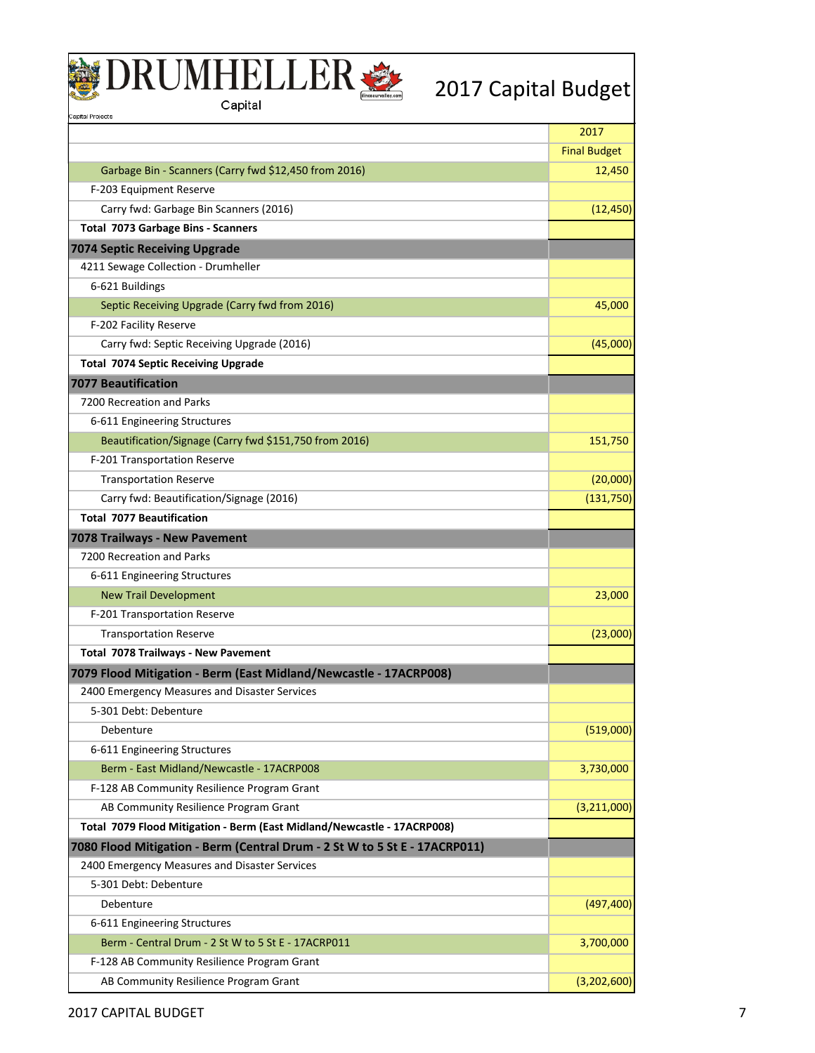

| ı |  |
|---|--|
|   |  |

|                                                                            | 2017                |
|----------------------------------------------------------------------------|---------------------|
|                                                                            | <b>Final Budget</b> |
| Garbage Bin - Scanners (Carry fwd \$12,450 from 2016)                      | 12,450              |
| F-203 Equipment Reserve                                                    |                     |
| Carry fwd: Garbage Bin Scanners (2016)                                     | (12, 450)           |
| <b>Total 7073 Garbage Bins - Scanners</b>                                  |                     |
| <b>7074 Septic Receiving Upgrade</b>                                       |                     |
| 4211 Sewage Collection - Drumheller                                        |                     |
| 6-621 Buildings                                                            |                     |
| Septic Receiving Upgrade (Carry fwd from 2016)                             | 45,000              |
| F-202 Facility Reserve                                                     |                     |
| Carry fwd: Septic Receiving Upgrade (2016)                                 | (45,000)            |
| <b>Total 7074 Septic Receiving Upgrade</b>                                 |                     |
| <b>7077 Beautification</b>                                                 |                     |
| 7200 Recreation and Parks                                                  |                     |
| 6-611 Engineering Structures                                               |                     |
| Beautification/Signage (Carry fwd \$151,750 from 2016)                     | 151,750             |
| F-201 Transportation Reserve                                               |                     |
| <b>Transportation Reserve</b>                                              | (20,000)            |
| Carry fwd: Beautification/Signage (2016)                                   | (131,750)           |
| <b>Total 7077 Beautification</b>                                           |                     |
| 7078 Trailways - New Pavement                                              |                     |
| 7200 Recreation and Parks                                                  |                     |
| 6-611 Engineering Structures                                               |                     |
| <b>New Trail Development</b>                                               | 23,000              |
| F-201 Transportation Reserve                                               |                     |
| <b>Transportation Reserve</b>                                              | (23,000)            |
| Total 7078 Trailways - New Pavement                                        |                     |
| 7079 Flood Mitigation - Berm (East Midland/Newcastle - 17ACRP008)          |                     |
| 2400 Emergency Measures and Disaster Services                              |                     |
| 5-301 Debt: Debenture                                                      |                     |
| Debenture                                                                  | (519,000)           |
| 6-611 Engineering Structures                                               |                     |
| Berm - East Midland/Newcastle - 17ACRP008                                  | 3,730,000           |
| F-128 AB Community Resilience Program Grant                                |                     |
| AB Community Resilience Program Grant                                      | (3,211,000)         |
| Total 7079 Flood Mitigation - Berm (East Midland/Newcastle - 17ACRP008)    |                     |
| 7080 Flood Mitigation - Berm (Central Drum - 2 St W to 5 St E - 17ACRP011) |                     |
| 2400 Emergency Measures and Disaster Services                              |                     |
| 5-301 Debt: Debenture                                                      |                     |
| Debenture                                                                  | (497, 400)          |
| 6-611 Engineering Structures                                               |                     |
| Berm - Central Drum - 2 St W to 5 St E - 17ACRP011                         | 3,700,000           |
| F-128 AB Community Resilience Program Grant                                |                     |
| AB Community Resilience Program Grant                                      | (3,202,600)         |